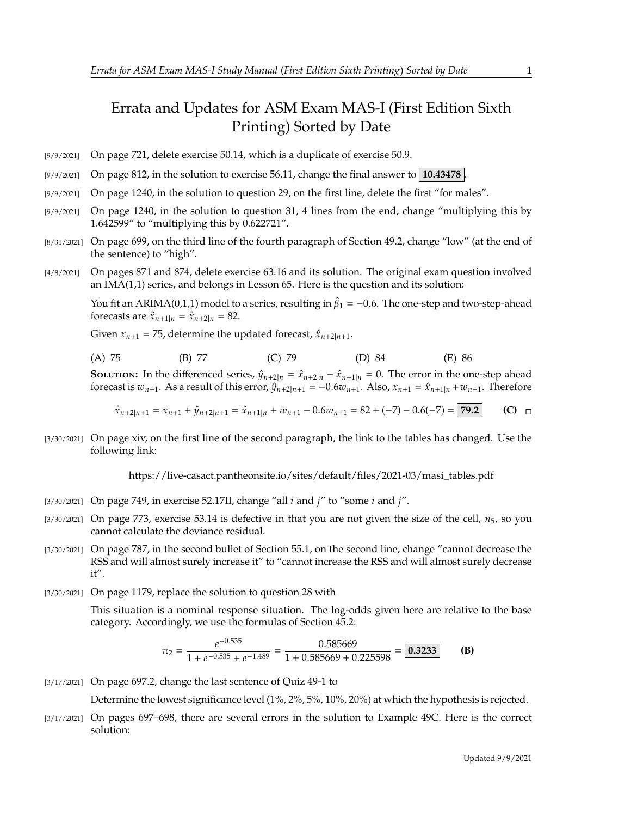## Errata and Updates for ASM Exam MAS-I (First Edition Sixth Printing) Sorted by Date

- [9/9/2021] On page 721, delete exercise 50.14, which is a duplicate of exercise 50.9.
- [9/9/2021] On page 812, in the solution to exercise 56.11, change the final answer to **10.43478** .
- [9/9/2021] On page 1240, in the solution to question 29, on the first line, delete the first "for males".
- [9/9/2021] On page 1240, in the solution to question 31, 4 lines from the end, change "multiplying this by 1.642599" to "multiplying this by 0.622721".
- [8/31/2021] On page 699, on the third line of the fourth paragraph of Section 49.2, change "low" (at the end of the sentence) to "high".
- [4/8/2021] On pages 871 and 874, delete exercise 63.16 and its solution. The original exam question involved an IMA(1,1) series, and belongs in Lesson 65. Here is the question and its solution:

You fit an ARIMA(0,1,1) model to a series, resulting in  $\hat{\beta}_1 = -0.6$ . The one-step and two-step-ahead forecasts are  $\hat{x}_{n+1} = \hat{x}_{n+2} = 82$ forecasts are  $\hat{x}_{n+1|n} = \hat{x}_{n+2|n} = 82$ .

Given  $x_{n+1} = 75$ , determine the updated forecast,  $\hat{x}_{n+2|n+1}$ .

| (A) 75 | (B) 77 | $(C)$ 79 | (D) 84 | (E) 86 |  |
|--------|--------|----------|--------|--------|--|
|        |        |          |        |        |  |

**SOLUTION:** In the differenced series,  $\hat{y}_{n+2|n} = \hat{x}_{n+2|n} - \hat{x}_{n+1|n} = 0$ . The error in the one-step ahead forecast is  $w_{n+1}$ . As a result of this error,  $\hat{y}_{n+2|n+1} = -0.6w_{n+1}$ . Also,  $x_{n+1} = \hat{x}_{n+1|n} + w_{n+1}$ . Therefore

$$
\hat{x}_{n+2|n+1} = x_{n+1} + \hat{y}_{n+2|n+1} = \hat{x}_{n+1|n} + w_{n+1} - 0.6w_{n+1} = 82 + (-7) - 0.6(-7) = 79.2
$$
 (C)  $\Box$ 

[3/30/2021] On page xiv, on the first line of the second paragraph, the link to the tables has changed. Use the following link:

https://live-casact.pantheonsite.io/sites/default/files/2021-03/masi\_tables.pdf

- [3/30/2021] On page 749, in exercise 52.17II, change "all  $i$  and  $j$ " to "some  $i$  and  $j$ ".
- $[3/30/2021]$  On page 773, exercise 53.14 is defective in that you are not given the size of the cell,  $n_5$ , so you cannot calculate the deviance residual.
- [3/30/2021] On page 787, in the second bullet of Section 55.1, on the second line, change "cannot decrease the RSS and will almost surely increase it" to "cannot increase the RSS and will almost surely decrease it".
- [3/30/2021] On page 1179, replace the solution to question 28 with

This situation is a nominal response situation. The log-odds given here are relative to the base category. Accordingly, we use the formulas of Section 45.2:

$$
\pi_2 = \frac{e^{-0.535}}{1 + e^{-0.535} + e^{-1.489}} = \frac{0.585669}{1 + 0.585669 + 0.225598} = \boxed{0.3233}
$$
 (B)

[3/17/2021] On page 697.2, change the last sentence of Quiz 49-1 to

Determine the lowest significance level (1%, 2%, 5%, 10%, 20%) at which the hypothesis is rejected.

[3/17/2021] On pages 697–698, there are several errors in the solution to Example 49C. Here is the correct solution: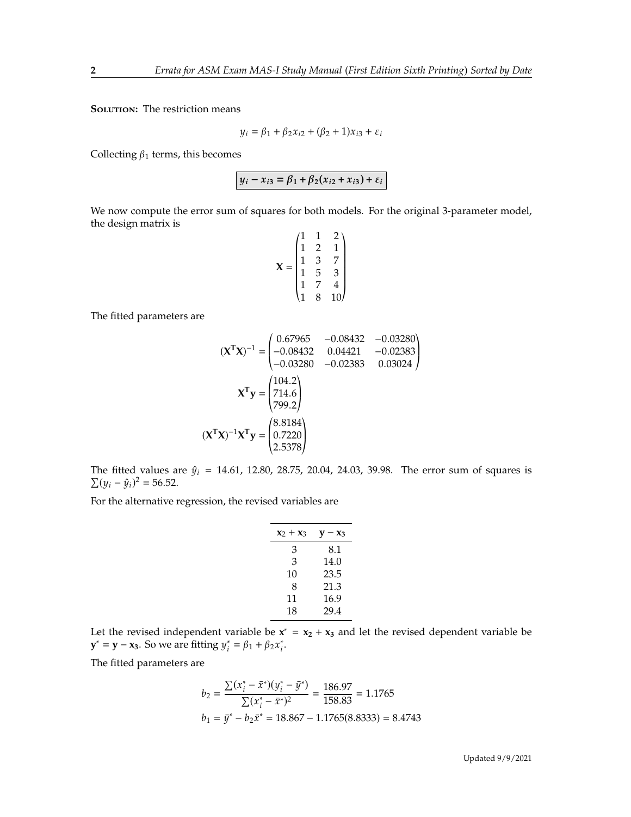**SOLUTION:** The restriction means

$$
y_i = \beta_1 + \beta_2 x_{i2} + (\beta_2 + 1)x_{i3} + \varepsilon_i
$$

Collecting  $\beta_1$  terms, this becomes

 $y_i - x_{i3} = \beta_1 + \beta_2(x_{i2} + x_{i3}) + \varepsilon_i$ 

We now compute the error sum of squares for both models. For the original 3-parameter model, the design matrix is  $(1 \quad 1 \quad 2)$ 

$$
\mathbf{X} = \begin{pmatrix} 1 & 1 & 2 \\ 1 & 2 & 1 \\ 1 & 3 & 7 \\ 1 & 5 & 3 \\ 1 & 7 & 4 \\ 1 & 8 & 10 \end{pmatrix}
$$

The fitted parameters are

$$
(\mathbf{X}^{\mathsf{T}}\mathbf{X})^{-1} = \begin{pmatrix} 0.67965 & -0.08432 & -0.03280 \\ -0.08432 & 0.04421 & -0.02383 \\ -0.03280 & -0.02383 & 0.03024 \end{pmatrix}
$$

$$
\mathbf{X}^{\mathsf{T}}\mathbf{y} = \begin{pmatrix} 104.2 \\ 714.6 \\ 799.2 \end{pmatrix}
$$

$$
(\mathbf{X}^{\mathsf{T}}\mathbf{X})^{-1}\mathbf{X}^{\mathsf{T}}\mathbf{y} = \begin{pmatrix} 8.8184 \\ 0.7220 \\ 2.5378 \end{pmatrix}
$$

« The fitted values are  $\hat{y}_i = 14.61, 12.80, 28.75, 20.04, 24.03, 39.98$ . The error sum of squares is  $\sum (y_i - \hat{y}_i)^2 = 56.52.$ 

For the alternative regression, the revised variables are

| $x_2 + x_3$ | $\mathbf{v}-\mathbf{x}_3$ |
|-------------|---------------------------|
| 3           | 8.1                       |
| 3           | 14.0                      |
| 10          | 23.5                      |
| 8           | 21.3                      |
| 11          | 16.9                      |
| 18          | 29.4                      |

Let the revised independent variable be  $x^* = x_2 + x_3$  and let the revised dependent variable be **y**<sup>\*</sup> = **y** − **x**<sub>3</sub>. So we are fitting  $y_i^* = \beta_1 + \beta_2 x_i^*$ .

The fitted parameters are

$$
b_2 = \frac{\sum (x_i^* - \bar{x}^*)(y_i^* - \bar{y}^*)}{\sum (x_i^* - \bar{x}^*)^2} = \frac{186.97}{158.83} = 1.1765
$$
  

$$
b_1 = \bar{y}^* - b_2 \bar{x}^* = 18.867 - 1.1765(8.8333) = 8.4743
$$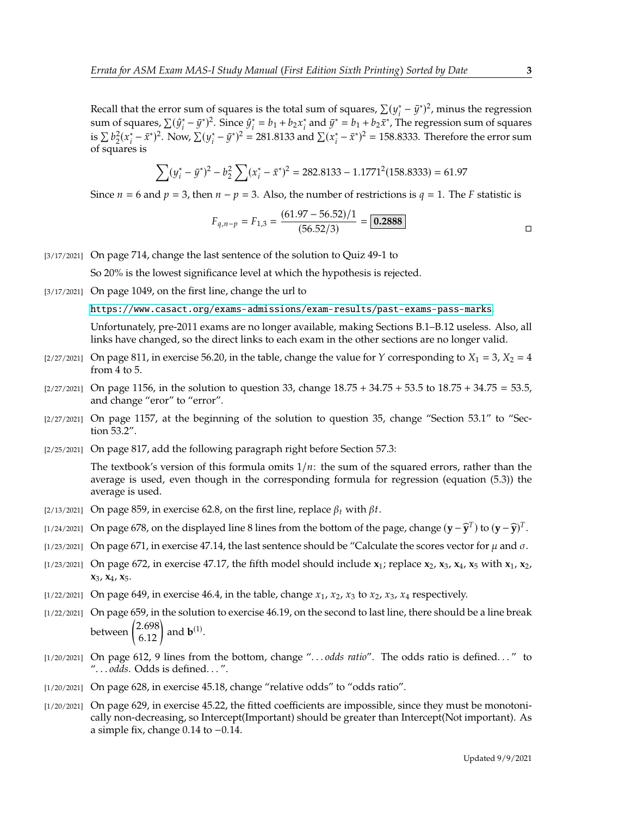Recall that the error sum of squares is the total sum of squares,  $\sum (y_i^* - \bar{y}^*)^2$ , minus the regression<br>sum of squares,  $\sum (G^* - \bar{g}^*)^2$ . Since  $G^* = h + h$  of and  $\bar{g}^* = h + h + \bar{g}^*$ . The regression sum of squares sum of squares,  $\sum (\hat{y}_i^* - \bar{y}^*)^2$ . Since  $\hat{y}_i^* = b_1 + b_2 x_i^*$  and  $\bar{y}^* = b_1 + b_2 \bar{x}^*$ , The regression sum of squares is  $\sum b_2^2 (x_i^* - \bar{x}^*)^2$ . Now,  $\sum (y_i^* - \bar{y}^*)^2 = 281.8133$  and  $\sum (x_i^* - \bar{x}^*)^2 = 158.8333$ . Therefore the error sum  $\sum_{1}^{n} \frac{1}{2}$  of squares is

$$
\sum (y_i^* - \bar{y}^*)^2 - b_2^2 \sum (x_i^* - \bar{x}^*)^2 = 282.8133 - 1.1771^2 (158.8333) = 61.97
$$

Since  $n = 6$  and  $p = 3$ , then  $n - p = 3$ . Also, the number of restrictions is  $q = 1$ . The F statistic is

$$
F_{q,n-p} = F_{1,3} = \frac{(61.97 - 56.52)/1}{(56.52/3)} = \boxed{0.2888}
$$

[3/17/2021] On page 714, change the last sentence of the solution to Quiz 49-1 to

So 20% is the lowest significance level at which the hypothesis is rejected.

[3/17/2021] On page 1049, on the first line, change the url to

<https://www.casact.org/exams-admissions/exam-results/past-exams-pass-marks>.

Unfortunately, pre-2011 exams are no longer available, making Sections B.1–B.12 useless. Also, all links have changed, so the direct links to each exam in the other sections are no longer valid.

- $[2/27/2021]$  On page 811, in exercise 56.20, in the table, change the value for Y corresponding to  $X_1 = 3$ ,  $X_2 = 4$ from 4 to 5.
- $[2/27/2021]$  On page 1156, in the solution to question 33, change  $18.75 + 34.75 + 53.5$  to  $18.75 + 34.75 = 53.5$ , and change "eror" to "error".
- $[2/27/2021]$  On page 1157, at the beginning of the solution to question 35, change "Section 53.1" to "Section 53.2".
- [2/25/2021] On page 817, add the following paragraph right before Section 57.3:

The textbook's version of this formula omits  $1/n$ : the sum of the squared errors, rather than the average is used, even though in the corresponding formula for regression (equation (5.3)) the average is used.

- [2/13/2021] On page 859, in exercise 62.8, on the first line, replace  $\beta_t$  with  $\beta t$ .
- [1/24/2021] On page 678, on the displayed line 8 lines from the bottom of the page, change  $(\mathbf{y} \widehat{\mathbf{y}}^T)$  to  $(\mathbf{y} \widehat{\mathbf{y}})^T$ .
- [1/23/2021] On page 671, in exercise 47.14, the last sentence should be "Calculate the scores vector for  $\mu$  and  $\sigma$ .
- [1/23/2021] On page 672, in exercise 47.17, the fifth model should include **x**1; replace **x**2, **x**3, **x**4, **x**<sup>5</sup> with **x**1, **x**2, **x**3, **x**4, **x**5.
- $\lbrack 1/22/2021\rbrack$  On page 649, in exercise 46.4, in the table, change  $x_1$ ,  $x_2$ ,  $x_3$  to  $x_2$ ,  $x_3$ ,  $x_4$  respectively.
- [1/22/2021] On page 659, in the solution to exercise 46.19, on the second to last line, there should be a line break between  $\begin{pmatrix} 2.698 \\ 6.12 \end{pmatrix}$ and  $\mathbf{b}^{(1)}$ .
- [1/20/2021] On page 612, 9 lines from the bottom, change ". . . *odds ratio*". The odds ratio is defined. . . " to ". . . *odds*. Odds is defined. . . ".
- [1/20/2021] On page 628, in exercise 45.18, change "relative odds" to "odds ratio".
- [1/20/2021] On page 629, in exercise 45.22, the fitted coefficients are impossible, since they must be monotonically non-decreasing, so Intercept(Important) should be greater than Intercept(Not important). As a simple fix, change <sup>0</sup>.<sup>14</sup> to <sup>−</sup>0.14.